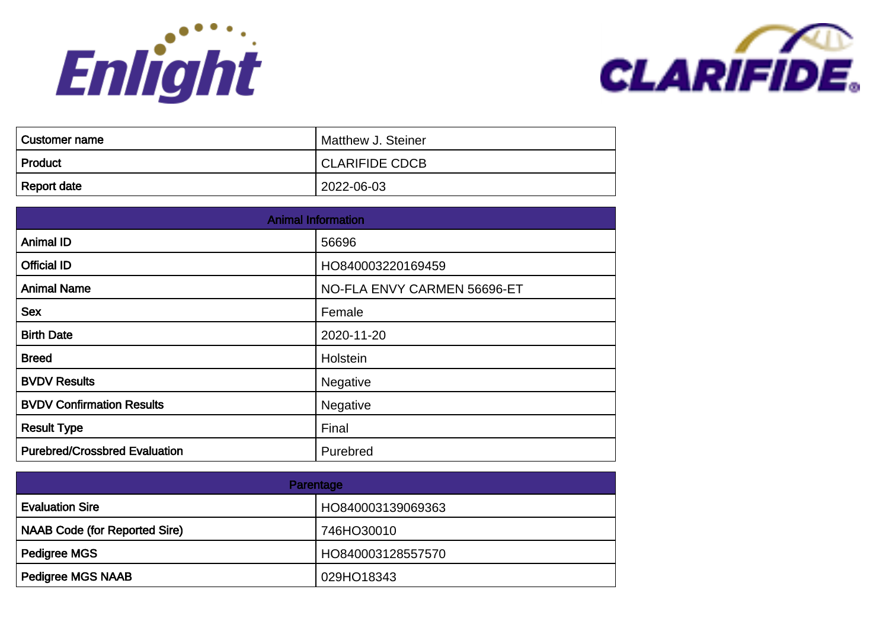



| ⊦ Customer name | Matthew J. Steiner |
|-----------------|--------------------|
| Product         | CLARIFIDE CDCB     |
| Report date     | 2022-06-03         |

| <b>Animal Information</b>            |                             |
|--------------------------------------|-----------------------------|
| <b>Animal ID</b>                     | 56696                       |
| <b>Official ID</b>                   | HO840003220169459           |
| <b>Animal Name</b>                   | NO-FLA ENVY CARMEN 56696-ET |
| <b>Sex</b>                           | Female                      |
| <b>Birth Date</b>                    | 2020-11-20                  |
| <b>Breed</b>                         | Holstein                    |
| <b>BVDV Results</b>                  | Negative                    |
| <b>BVDV Confirmation Results</b>     | Negative                    |
| <b>Result Type</b>                   | Final                       |
| <b>Purebred/Crossbred Evaluation</b> | Purebred                    |

| Parentage                            |                   |
|--------------------------------------|-------------------|
| <b>Evaluation Sire</b>               | HO840003139069363 |
| <b>NAAB Code (for Reported Sire)</b> | 746HO30010        |
| <b>Pedigree MGS</b>                  | HO840003128557570 |
| <b>Pedigree MGS NAAB</b>             | 029HO18343        |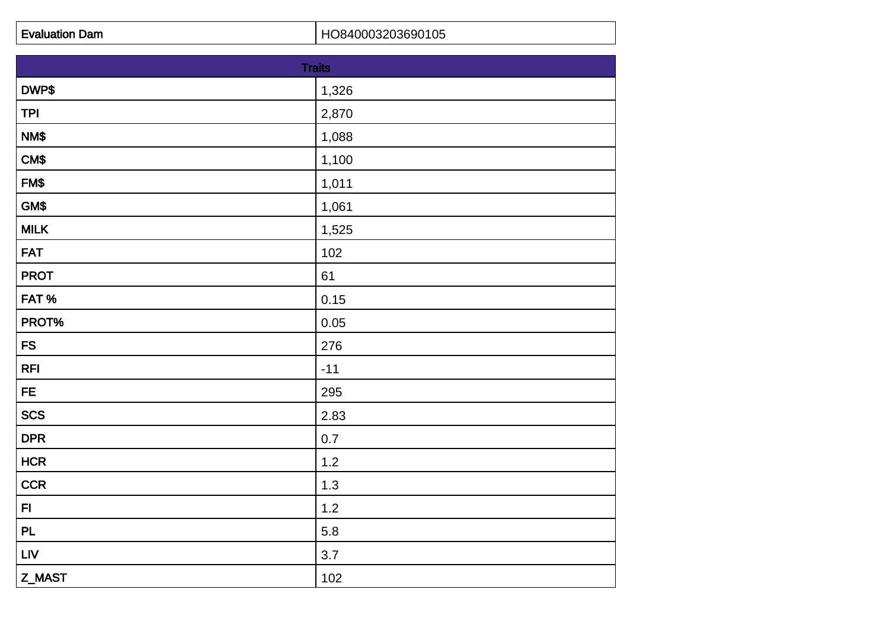| <b>Traits</b> |       |
|---------------|-------|
| DWP\$         | 1,326 |
| <b>TPI</b>    | 2,870 |
| NM\$          | 1,088 |
| CM\$          | 1,100 |
| FM\$          | 1,011 |
| GM\$          | 1,061 |
| <b>MILK</b>   | 1,525 |
| <b>FAT</b>    | 102   |
| <b>PROT</b>   | 61    |
| FAT%          | 0.15  |
| PROT%         | 0.05  |
| <b>FS</b>     | 276   |
| <b>RFI</b>    | $-11$ |
| <b>FE</b>     | 295   |
| <b>SCS</b>    | 2.83  |
| <b>DPR</b>    | 0.7   |
| HCR           | $1.2$ |
| <b>CCR</b>    | 1.3   |
| F1            | $1.2$ |
| PL            | 5.8   |
| <b>LIV</b>    | 3.7   |
| Z_MAST        | 102   |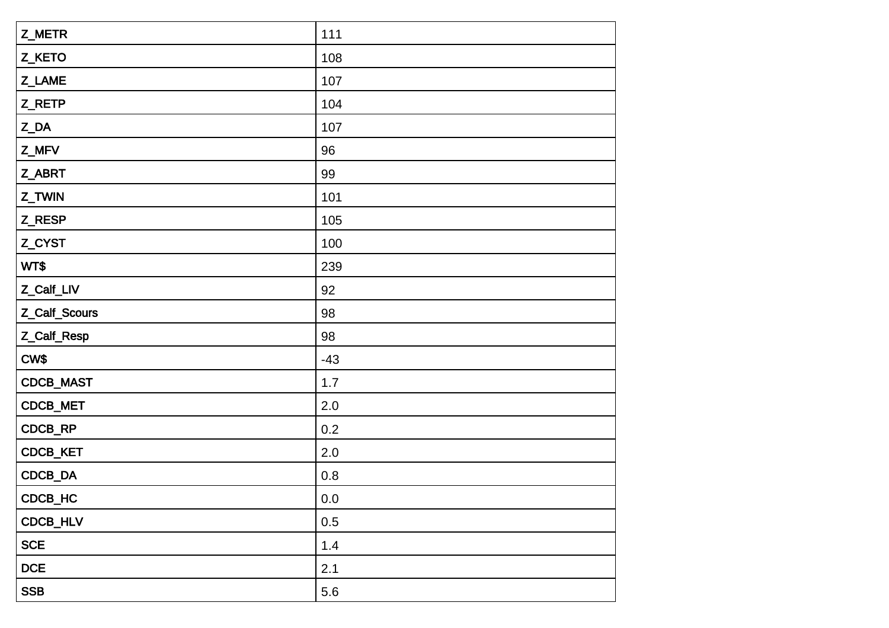| Z_METR               | 111     |
|----------------------|---------|
| Z_KETO               | 108     |
| Z_LAME               | 107     |
| Z_RETP               | 104     |
| $Z$ <sub></sub> $DA$ | 107     |
| Z_MFV                | 96      |
| Z_ABRT               | 99      |
| Z_TWIN               | 101     |
| Z_RESP               | 105     |
| Z_CYST               | 100     |
| WT\$                 | 239     |
| Z_Calf_LIV           | 92      |
| Z_Calf_Scours        | 98      |
| Z_Calf_Resp          | 98      |
| CW\$                 | $-43$   |
| CDCB_MAST            | 1.7     |
| CDCB_MET             | 2.0     |
| CDCB_RP              | 0.2     |
| CDCB_KET             | 2.0     |
| CDCB_DA              | 0.8     |
| CDCB_HC              | $0.0\,$ |
| CDCB_HLV             | 0.5     |
| <b>SCE</b>           | 1.4     |
| DCE                  | 2.1     |
| <b>SSB</b>           | 5.6     |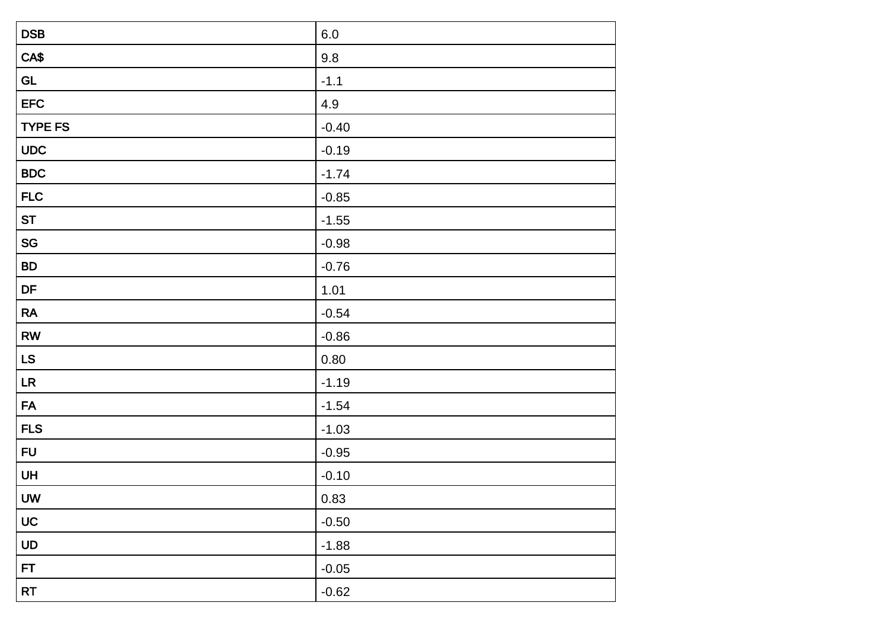| <b>DSB</b>                   | $6.0\,$ |
|------------------------------|---------|
| CA\$                         | 9.8     |
| GL                           | $-1.1$  |
| <b>EFC</b>                   | 4.9     |
| <b>TYPE FS</b>               | $-0.40$ |
| <b>UDC</b>                   | $-0.19$ |
| <b>BDC</b>                   | $-1.74$ |
| <b>FLC</b>                   | $-0.85$ |
| <b>ST</b>                    | $-1.55$ |
| $\operatorname{\mathsf{SG}}$ | $-0.98$ |
| <b>BD</b>                    | $-0.76$ |
| DF                           | 1.01    |
| RA                           | $-0.54$ |
| ${\sf RW}$                   | $-0.86$ |
| <b>LS</b>                    | 0.80    |
| LR                           | $-1.19$ |
| <b>FA</b>                    | $-1.54$ |
| <b>FLS</b>                   | $-1.03$ |
| <b>FU</b>                    | $-0.95$ |
| UH                           | $-0.10$ |
| <b>UW</b>                    | 0.83    |
| <b>UC</b>                    | $-0.50$ |
| UD                           | $-1.88$ |
| <b>FT</b>                    | $-0.05$ |
| RT                           | $-0.62$ |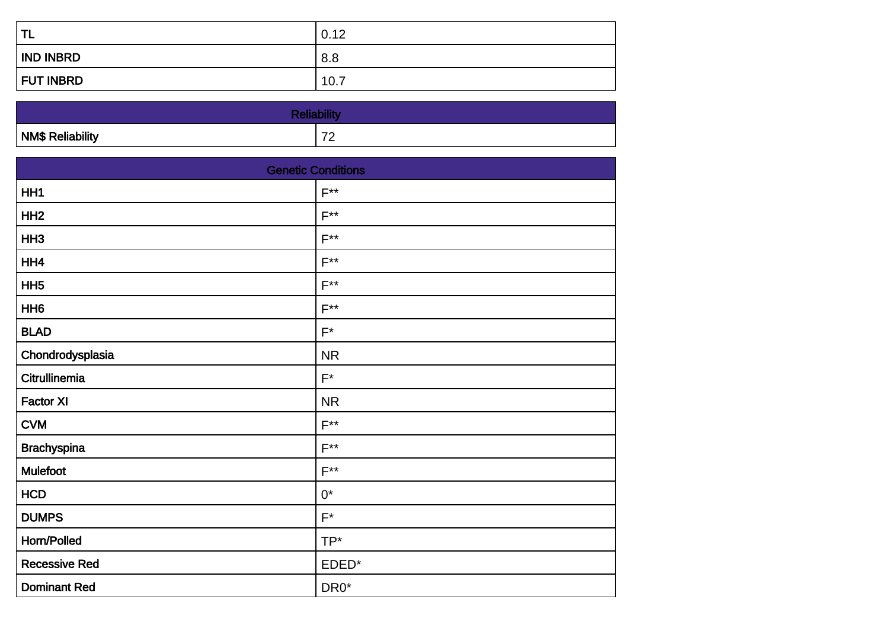| <b>TL</b>        | 0.12 |
|------------------|------|
| <b>IND INBRD</b> | 8.8  |
| <b>FUT INBRD</b> | 10.7 |

| <b>NM\$ Reliability</b> | $\overline{\phantom{a}}$ |
|-------------------------|--------------------------|

| <b>Genetic Conditions</b> |                    |
|---------------------------|--------------------|
| HH1                       | $F^{**}$           |
| HH <sub>2</sub>           | $F^{**}$           |
| HH <sub>3</sub>           | $F^{**}$           |
| HH4                       | $F^{**}$           |
| HH <sub>5</sub>           | $F^{**}$           |
| HH <sub>6</sub>           | $F^{**}$           |
| <b>BLAD</b>               | $\mathsf{F}^\star$ |
| Chondrodysplasia          | <b>NR</b>          |
| Citrullinemia             | $\mathsf{F}^\star$ |
| <b>Factor XI</b>          | <b>NR</b>          |
| <b>CVM</b>                | $F^{\ast\ast}$     |
| <b>Brachyspina</b>        | $F^{\ast\ast}$     |
| Mulefoot                  | $F^{**}$           |
| <b>HCD</b>                | $0^*$              |
| <b>DUMPS</b>              | $F^*$              |
| Horn/Polled               | TP*                |
| <b>Recessive Red</b>      | EDED*              |
| <b>Dominant Red</b>       | DR <sub>0</sub> *  |